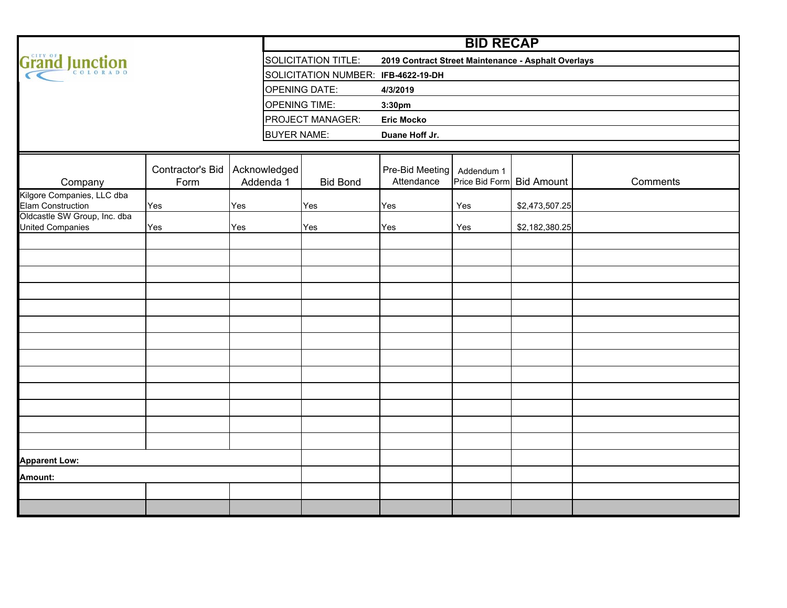|                                                         |                          |                           | <b>BID RECAP</b>   |                                     |                                                     |            |                           |          |  |  |  |  |  |  |  |  |  |
|---------------------------------------------------------|--------------------------|---------------------------|--------------------|-------------------------------------|-----------------------------------------------------|------------|---------------------------|----------|--|--|--|--|--|--|--|--|--|
| Grand Junction                                          |                          |                           |                    | SOLICITATION TITLE:                 | 2019 Contract Street Maintenance - Asphalt Overlays |            |                           |          |  |  |  |  |  |  |  |  |  |
|                                                         |                          |                           |                    | SOLICITATION NUMBER: IFB-4622-19-DH |                                                     |            |                           |          |  |  |  |  |  |  |  |  |  |
|                                                         |                          |                           |                    | <b>OPENING DATE:</b>                | 4/3/2019                                            |            |                           |          |  |  |  |  |  |  |  |  |  |
|                                                         |                          |                           |                    | <b>OPENING TIME:</b>                | 3:30pm                                              |            |                           |          |  |  |  |  |  |  |  |  |  |
|                                                         |                          |                           |                    | <b>PROJECT MANAGER:</b>             | <b>Eric Mocko</b>                                   |            |                           |          |  |  |  |  |  |  |  |  |  |
|                                                         |                          |                           | <b>BUYER NAME:</b> |                                     | Duane Hoff Jr.                                      |            |                           |          |  |  |  |  |  |  |  |  |  |
|                                                         |                          |                           |                    |                                     |                                                     |            |                           |          |  |  |  |  |  |  |  |  |  |
| Company                                                 | Contractor's Bid<br>Form | Acknowledged<br>Addenda 1 |                    | <b>Bid Bond</b>                     | Pre-Bid Meeting<br>Attendance                       | Addendum 1 | Price Bid Form Bid Amount | Comments |  |  |  |  |  |  |  |  |  |
| Kilgore Companies, LLC dba<br><b>Elam Construction</b>  | Yes                      | Yes                       |                    | Yes                                 | Yes                                                 | Yes        | \$2,473,507.25            |          |  |  |  |  |  |  |  |  |  |
| Oldcastle SW Group, Inc. dba<br><b>United Companies</b> | Yes                      | Yes                       |                    | Yes                                 | Yes                                                 | Yes        | \$2,182,380.25            |          |  |  |  |  |  |  |  |  |  |
|                                                         |                          |                           |                    |                                     |                                                     |            |                           |          |  |  |  |  |  |  |  |  |  |
|                                                         |                          |                           |                    |                                     |                                                     |            |                           |          |  |  |  |  |  |  |  |  |  |
|                                                         |                          |                           |                    |                                     |                                                     |            |                           |          |  |  |  |  |  |  |  |  |  |
|                                                         |                          |                           |                    |                                     |                                                     |            |                           |          |  |  |  |  |  |  |  |  |  |
|                                                         |                          |                           |                    |                                     |                                                     |            |                           |          |  |  |  |  |  |  |  |  |  |
|                                                         |                          |                           |                    |                                     |                                                     |            |                           |          |  |  |  |  |  |  |  |  |  |
|                                                         |                          |                           |                    |                                     |                                                     |            |                           |          |  |  |  |  |  |  |  |  |  |
|                                                         |                          |                           |                    |                                     |                                                     |            |                           |          |  |  |  |  |  |  |  |  |  |
|                                                         |                          |                           |                    |                                     |                                                     |            |                           |          |  |  |  |  |  |  |  |  |  |
|                                                         |                          |                           |                    |                                     |                                                     |            |                           |          |  |  |  |  |  |  |  |  |  |
|                                                         |                          |                           |                    |                                     |                                                     |            |                           |          |  |  |  |  |  |  |  |  |  |
|                                                         |                          |                           |                    |                                     |                                                     |            |                           |          |  |  |  |  |  |  |  |  |  |
|                                                         |                          |                           |                    |                                     |                                                     |            |                           |          |  |  |  |  |  |  |  |  |  |
| <b>Apparent Low:</b>                                    |                          |                           |                    |                                     |                                                     |            |                           |          |  |  |  |  |  |  |  |  |  |
| Amount:                                                 |                          |                           |                    |                                     |                                                     |            |                           |          |  |  |  |  |  |  |  |  |  |
|                                                         |                          |                           |                    |                                     |                                                     |            |                           |          |  |  |  |  |  |  |  |  |  |
|                                                         |                          |                           |                    |                                     |                                                     |            |                           |          |  |  |  |  |  |  |  |  |  |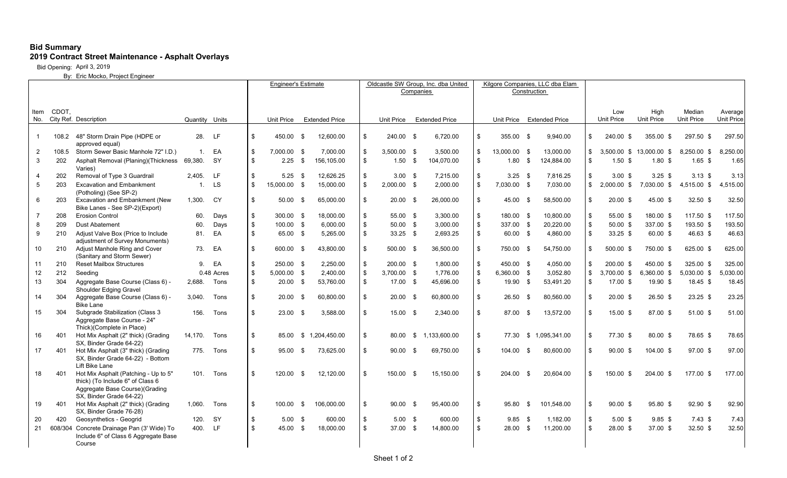## **Bid Summary 2019 Contract Street Maintenance - Asphalt Overlays**

Bid Opening: April 3, 2019

By: Eric Mocko, Project Engineer

| Construction<br>CDOT,<br>Item<br>City Ref. Description<br>Unit Price<br>No.<br>Quantity Units<br><b>Extended Price</b><br><b>Extended Price</b><br>Unit Price Extended Price<br>Unit Price<br>Unit Price<br>28.<br>\$<br>108.2 48" Storm Drain Pipe (HDPE or<br>-LF<br>\$<br>450.00 \$<br>12,600.00<br>\$<br>240.00 \$<br>6,720.00<br>\$<br>355.00 \$<br>9,940.00<br>$\mathbf{1}$<br>approved equal)<br>\$<br>\$<br>$\overline{2}$<br>108.5<br>Storm Sewer Basic Manhole 72" I.D.)<br>$\mathbf{1}$ .<br>EA<br>7.000.00 \$<br>7.000.00<br>$3,500.00$ \$<br>3,500.00<br>\$<br>13.000.00 \$<br>13.000.00<br>$\mathsf{\$}$<br>\$<br>\$<br>$\mathbf{3}$<br>202<br>Asphalt Removal (Planing) (Thickness<br>69,380.<br><b>SY</b><br>\$<br>$2.25$ \$<br>156,105.00<br>104,070.00<br>\$<br>$1.80$ \$<br>124,884.00<br>$1.50$ \$<br>Varies)<br>202<br>Removal of Type 3 Guardrail<br>2.405.<br>LF.<br>\$<br>$5.25$ \$<br>12,626.25<br>\$<br>$3.00 \quad$ \$<br>7.215.00<br>$3.25$ \$<br>7,816.25<br>\$<br>$\overline{4}$<br>\$<br>$\mathbf{s}$<br>5<br>203<br><b>Excavation and Embankment</b><br><b>LS</b><br>\$<br>15,000.00 \$<br>15.000.00<br>$2,000.00$ \$<br>2.000.00<br>\$<br>7,030.00 \$<br>7,030.00<br>$\mathbb{S}$<br>$\overline{1}$<br>(Potholing) (See SP-2)<br><b>Excavation and Embankment (New</b><br><b>CY</b><br>\$<br>\$<br>\$<br>6<br>203<br>1,300.<br>$50.00$ \$<br>65,000.00<br>20.00 \$<br>26,000.00<br>\$<br>45.00 \$<br>58,500.00<br>Bike Lanes - See SP-2)(Export)<br>\$<br>55.00 \$<br>\$<br>$\overline{7}$<br>208<br><b>Erosion Control</b><br>\$<br>300.00 \$<br>18.000.00<br>3.300.00<br>\$<br>180.00 \$<br>10,800.00<br>60.<br>Days<br>\$<br>\$<br>\$<br>\$<br>8<br>209<br>100.00 \$<br>6,000.00<br>$50.00$ \$<br>3,000.00<br>337.00 \$<br>20,220.00<br>Dust Abatement<br>60.<br>Days<br>EA<br>\$<br>\$<br>Adjust Valve Box (Price to Include<br>81.<br>\$<br>65.00 \$<br>5,265.00<br>$33.25$ \$<br>2,693.25<br>\$<br>4,860.00<br>9<br>210<br>60.00 \$<br>adjustment of Survey Monuments)<br>Adjust Manhole Ring and Cover<br>\$<br>\$<br>54,750.00<br>10<br>210<br>73.<br>EA<br>600.00 \$<br>43.800.00<br>500.00 \$<br>36.500.00<br>\$<br>750.00 \$<br>\$<br>(Sanitary and Storm Sewer)<br>\$<br>\$<br>\$<br><b>Reset Mailbox Structures</b><br>EA<br>250.00 \$<br>2,250.00<br>200.00 \$<br>1,800.00<br>\$<br>450.00 \$<br>4,050.00<br>11<br>210<br>9.<br>$\sqrt[6]{2}$<br>212<br>2,400.00<br>1,776.00<br>\$<br>3,052.80<br>\$<br>12<br>0.48 Acres<br>\$<br>5,000.00 \$<br>3,700.00 \$<br>6,360.00 \$<br>Seeding<br>$\sqrt[6]{2}$<br>\$<br>13<br>304<br>Aggregate Base Course (Class 6) -<br>\$<br>$20.00$ \$<br>53,760.00<br>17.00 \$<br>45,696.00<br>\$<br>19.90 \$<br>53,491.20<br>2,688.<br>Tons<br>Shoulder Edging Gravel<br>\$<br>\$<br>14<br>304<br>Aggregate Base Course (Class 6) -<br>20.00<br>\$<br>\$<br>3,040.<br>Tons<br>$20.00$ \$<br>60.800.00<br>- \$<br>60,800.00<br>26.50<br>80,560.00<br>-\$<br><b>Bike Lane</b><br>$\mathbf{\hat{s}}$<br>15<br>304<br>Subgrade Stabilization (Class 3<br>\$<br>15.00 \$<br>\$.<br>13.572.00<br>\$<br>156.<br>Tons<br>$23.00$ \$<br>3.588.00<br>2.340.00<br>87.00<br><b>S</b><br>Aggregate Base Course - 24"<br>Thick)(Complete in Place)<br>\$<br>Hot Mix Asphalt (2" thick) (Grading<br>\$<br>1.133.600.00<br>\$<br>\$ 1.095.341.00<br>\$<br>16<br>401<br>14.170.<br>Tons<br>85.00 \$ 1.204.450.00<br>80.00<br>\$<br>77.30<br>SX, Binder Grade 64-22)<br>$\mathbf{s}$<br>\$<br>\$<br>\$<br>17<br>401<br>Hot Mix Asphalt (3" thick) (Grading<br>775.<br>Tons<br>$95.00 \quad$ \$<br>73.625.00<br>90.00<br>69.750.00<br>104.00<br>80.600.00<br>- \$<br>- \$<br>SX, Binder Grade 64-22) - Bottom<br>Lift Bike Lane<br>Hot Mix Asphalt (Patching - Up to 5"<br>$\mathfrak{L}$<br>\$<br>18<br>120.00<br>12,120.00<br>150.00<br>15,150.00<br>\$<br>204.00<br>20,604.00<br>\$<br>401<br>101.<br>Tons<br>- \$<br>- \$<br>- \$<br>thick) (To Include 6" of Class 6<br>Aggregate Base Course)(Grading<br>SX, Binder Grade 64-22) |    |     |                                     |        |      | <b>Engineer's Estimate</b> |        |           |            |    | Oldcastle SW Group, Inc. dba United |      |           |    |       |     | Kilgore Companies, LLC dba Elam |                   |                   |                   |                   |
|---------------------------------------------------------------------------------------------------------------------------------------------------------------------------------------------------------------------------------------------------------------------------------------------------------------------------------------------------------------------------------------------------------------------------------------------------------------------------------------------------------------------------------------------------------------------------------------------------------------------------------------------------------------------------------------------------------------------------------------------------------------------------------------------------------------------------------------------------------------------------------------------------------------------------------------------------------------------------------------------------------------------------------------------------------------------------------------------------------------------------------------------------------------------------------------------------------------------------------------------------------------------------------------------------------------------------------------------------------------------------------------------------------------------------------------------------------------------------------------------------------------------------------------------------------------------------------------------------------------------------------------------------------------------------------------------------------------------------------------------------------------------------------------------------------------------------------------------------------------------------------------------------------------------------------------------------------------------------------------------------------------------------------------------------------------------------------------------------------------------------------------------------------------------------------------------------------------------------------------------------------------------------------------------------------------------------------------------------------------------------------------------------------------------------------------------------------------------------------------------------------------------------------------------------------------------------------------------------------------------------------------------------------------------------------------------------------------------------------------------------------------------------------------------------------------------------------------------------------------------------------------------------------------------------------------------------------------------------------------------------------------------------------------------------------------------------------------------------------------------------------------------------------------------------------------------------------------------------------------------------------------------------------------------------------------------------------------------------------------------------------------------------------------------------------------------------------------------------------------------------------------------------------------------------------------------------------------------------------------------------------------------------------------------------------------------------------------------------------------------------------------------------------------------------------------------------------------------------------------------------------------------------------------------------------------------------------------------------------------------------|----|-----|-------------------------------------|--------|------|----------------------------|--------|-----------|------------|----|-------------------------------------|------|-----------|----|-------|-----|---------------------------------|-------------------|-------------------|-------------------|-------------------|
|                                                                                                                                                                                                                                                                                                                                                                                                                                                                                                                                                                                                                                                                                                                                                                                                                                                                                                                                                                                                                                                                                                                                                                                                                                                                                                                                                                                                                                                                                                                                                                                                                                                                                                                                                                                                                                                                                                                                                                                                                                                                                                                                                                                                                                                                                                                                                                                                                                                                                                                                                                                                                                                                                                                                                                                                                                                                                                                                                                                                                                                                                                                                                                                                                                                                                                                                                                                                                                                                                                                                                                                                                                                                                                                                                                                                                                                                                                                                                                                                   |    |     |                                     |        |      |                            |        | Companies |            |    |                                     |      |           |    |       |     |                                 |                   |                   |                   |                   |
|                                                                                                                                                                                                                                                                                                                                                                                                                                                                                                                                                                                                                                                                                                                                                                                                                                                                                                                                                                                                                                                                                                                                                                                                                                                                                                                                                                                                                                                                                                                                                                                                                                                                                                                                                                                                                                                                                                                                                                                                                                                                                                                                                                                                                                                                                                                                                                                                                                                                                                                                                                                                                                                                                                                                                                                                                                                                                                                                                                                                                                                                                                                                                                                                                                                                                                                                                                                                                                                                                                                                                                                                                                                                                                                                                                                                                                                                                                                                                                                                   |    |     |                                     |        |      |                            |        |           |            |    |                                     |      |           |    |       |     |                                 |                   |                   |                   |                   |
|                                                                                                                                                                                                                                                                                                                                                                                                                                                                                                                                                                                                                                                                                                                                                                                                                                                                                                                                                                                                                                                                                                                                                                                                                                                                                                                                                                                                                                                                                                                                                                                                                                                                                                                                                                                                                                                                                                                                                                                                                                                                                                                                                                                                                                                                                                                                                                                                                                                                                                                                                                                                                                                                                                                                                                                                                                                                                                                                                                                                                                                                                                                                                                                                                                                                                                                                                                                                                                                                                                                                                                                                                                                                                                                                                                                                                                                                                                                                                                                                   |    |     |                                     |        |      |                            |        |           |            |    |                                     |      |           |    |       |     |                                 | Low               | High              | Median            | Average           |
|                                                                                                                                                                                                                                                                                                                                                                                                                                                                                                                                                                                                                                                                                                                                                                                                                                                                                                                                                                                                                                                                                                                                                                                                                                                                                                                                                                                                                                                                                                                                                                                                                                                                                                                                                                                                                                                                                                                                                                                                                                                                                                                                                                                                                                                                                                                                                                                                                                                                                                                                                                                                                                                                                                                                                                                                                                                                                                                                                                                                                                                                                                                                                                                                                                                                                                                                                                                                                                                                                                                                                                                                                                                                                                                                                                                                                                                                                                                                                                                                   |    |     |                                     |        |      |                            |        |           |            |    |                                     |      |           |    |       |     |                                 |                   | <b>Unit Price</b> | <b>Unit Price</b> | <b>Unit Price</b> |
|                                                                                                                                                                                                                                                                                                                                                                                                                                                                                                                                                                                                                                                                                                                                                                                                                                                                                                                                                                                                                                                                                                                                                                                                                                                                                                                                                                                                                                                                                                                                                                                                                                                                                                                                                                                                                                                                                                                                                                                                                                                                                                                                                                                                                                                                                                                                                                                                                                                                                                                                                                                                                                                                                                                                                                                                                                                                                                                                                                                                                                                                                                                                                                                                                                                                                                                                                                                                                                                                                                                                                                                                                                                                                                                                                                                                                                                                                                                                                                                                   |    |     |                                     |        |      |                            |        |           |            |    |                                     |      |           |    |       |     |                                 | 240.00 \$         | 355.00 \$         | 297.50 \$         | 297.50            |
|                                                                                                                                                                                                                                                                                                                                                                                                                                                                                                                                                                                                                                                                                                                                                                                                                                                                                                                                                                                                                                                                                                                                                                                                                                                                                                                                                                                                                                                                                                                                                                                                                                                                                                                                                                                                                                                                                                                                                                                                                                                                                                                                                                                                                                                                                                                                                                                                                                                                                                                                                                                                                                                                                                                                                                                                                                                                                                                                                                                                                                                                                                                                                                                                                                                                                                                                                                                                                                                                                                                                                                                                                                                                                                                                                                                                                                                                                                                                                                                                   |    |     |                                     |        |      |                            |        |           |            |    |                                     |      |           |    |       |     |                                 |                   |                   |                   |                   |
|                                                                                                                                                                                                                                                                                                                                                                                                                                                                                                                                                                                                                                                                                                                                                                                                                                                                                                                                                                                                                                                                                                                                                                                                                                                                                                                                                                                                                                                                                                                                                                                                                                                                                                                                                                                                                                                                                                                                                                                                                                                                                                                                                                                                                                                                                                                                                                                                                                                                                                                                                                                                                                                                                                                                                                                                                                                                                                                                                                                                                                                                                                                                                                                                                                                                                                                                                                                                                                                                                                                                                                                                                                                                                                                                                                                                                                                                                                                                                                                                   |    |     |                                     |        |      |                            |        |           |            |    |                                     |      |           |    |       |     |                                 | $3.500.00$ \$     | 13,000.00 \$      | 8.250.00 \$       | 8,250.00          |
|                                                                                                                                                                                                                                                                                                                                                                                                                                                                                                                                                                                                                                                                                                                                                                                                                                                                                                                                                                                                                                                                                                                                                                                                                                                                                                                                                                                                                                                                                                                                                                                                                                                                                                                                                                                                                                                                                                                                                                                                                                                                                                                                                                                                                                                                                                                                                                                                                                                                                                                                                                                                                                                                                                                                                                                                                                                                                                                                                                                                                                                                                                                                                                                                                                                                                                                                                                                                                                                                                                                                                                                                                                                                                                                                                                                                                                                                                                                                                                                                   |    |     |                                     |        |      |                            |        |           |            |    |                                     |      |           |    |       |     |                                 | $1.50$ \$         | 1.80S             | $1.65$ \$         | 1.65              |
|                                                                                                                                                                                                                                                                                                                                                                                                                                                                                                                                                                                                                                                                                                                                                                                                                                                                                                                                                                                                                                                                                                                                                                                                                                                                                                                                                                                                                                                                                                                                                                                                                                                                                                                                                                                                                                                                                                                                                                                                                                                                                                                                                                                                                                                                                                                                                                                                                                                                                                                                                                                                                                                                                                                                                                                                                                                                                                                                                                                                                                                                                                                                                                                                                                                                                                                                                                                                                                                                                                                                                                                                                                                                                                                                                                                                                                                                                                                                                                                                   |    |     |                                     |        |      |                            |        |           |            |    |                                     |      |           |    |       |     |                                 | 3.00 <sup>5</sup> | $3.25$ \$         | $3.13$ \$         | 3.13              |
|                                                                                                                                                                                                                                                                                                                                                                                                                                                                                                                                                                                                                                                                                                                                                                                                                                                                                                                                                                                                                                                                                                                                                                                                                                                                                                                                                                                                                                                                                                                                                                                                                                                                                                                                                                                                                                                                                                                                                                                                                                                                                                                                                                                                                                                                                                                                                                                                                                                                                                                                                                                                                                                                                                                                                                                                                                                                                                                                                                                                                                                                                                                                                                                                                                                                                                                                                                                                                                                                                                                                                                                                                                                                                                                                                                                                                                                                                                                                                                                                   |    |     |                                     |        |      |                            |        |           |            |    |                                     |      |           |    |       |     |                                 | 2,000.00 \$       | 7,030.00 \$       | 4,515.00 \$       | 4,515.00          |
|                                                                                                                                                                                                                                                                                                                                                                                                                                                                                                                                                                                                                                                                                                                                                                                                                                                                                                                                                                                                                                                                                                                                                                                                                                                                                                                                                                                                                                                                                                                                                                                                                                                                                                                                                                                                                                                                                                                                                                                                                                                                                                                                                                                                                                                                                                                                                                                                                                                                                                                                                                                                                                                                                                                                                                                                                                                                                                                                                                                                                                                                                                                                                                                                                                                                                                                                                                                                                                                                                                                                                                                                                                                                                                                                                                                                                                                                                                                                                                                                   |    |     |                                     |        |      |                            |        |           |            |    |                                     |      |           |    |       |     |                                 | $20.00$ \$        | 45.00 \$          | $32.50$ \$        | 32.50             |
|                                                                                                                                                                                                                                                                                                                                                                                                                                                                                                                                                                                                                                                                                                                                                                                                                                                                                                                                                                                                                                                                                                                                                                                                                                                                                                                                                                                                                                                                                                                                                                                                                                                                                                                                                                                                                                                                                                                                                                                                                                                                                                                                                                                                                                                                                                                                                                                                                                                                                                                                                                                                                                                                                                                                                                                                                                                                                                                                                                                                                                                                                                                                                                                                                                                                                                                                                                                                                                                                                                                                                                                                                                                                                                                                                                                                                                                                                                                                                                                                   |    |     |                                     |        |      |                            |        |           |            |    |                                     |      |           |    |       |     |                                 | 55.00 \$          | 180.00 \$         | 117.50 \$         | 117.50            |
|                                                                                                                                                                                                                                                                                                                                                                                                                                                                                                                                                                                                                                                                                                                                                                                                                                                                                                                                                                                                                                                                                                                                                                                                                                                                                                                                                                                                                                                                                                                                                                                                                                                                                                                                                                                                                                                                                                                                                                                                                                                                                                                                                                                                                                                                                                                                                                                                                                                                                                                                                                                                                                                                                                                                                                                                                                                                                                                                                                                                                                                                                                                                                                                                                                                                                                                                                                                                                                                                                                                                                                                                                                                                                                                                                                                                                                                                                                                                                                                                   |    |     |                                     |        |      |                            |        |           |            |    |                                     |      |           |    |       |     |                                 | $50.00$ \$        | 337.00 \$         | 193.50 \$         | 193.50            |
|                                                                                                                                                                                                                                                                                                                                                                                                                                                                                                                                                                                                                                                                                                                                                                                                                                                                                                                                                                                                                                                                                                                                                                                                                                                                                                                                                                                                                                                                                                                                                                                                                                                                                                                                                                                                                                                                                                                                                                                                                                                                                                                                                                                                                                                                                                                                                                                                                                                                                                                                                                                                                                                                                                                                                                                                                                                                                                                                                                                                                                                                                                                                                                                                                                                                                                                                                                                                                                                                                                                                                                                                                                                                                                                                                                                                                                                                                                                                                                                                   |    |     |                                     |        |      |                            |        |           |            |    |                                     |      |           |    |       |     |                                 | $33.25$ \$        | 60.00 \$          | 46.63 \$          | 46.63             |
|                                                                                                                                                                                                                                                                                                                                                                                                                                                                                                                                                                                                                                                                                                                                                                                                                                                                                                                                                                                                                                                                                                                                                                                                                                                                                                                                                                                                                                                                                                                                                                                                                                                                                                                                                                                                                                                                                                                                                                                                                                                                                                                                                                                                                                                                                                                                                                                                                                                                                                                                                                                                                                                                                                                                                                                                                                                                                                                                                                                                                                                                                                                                                                                                                                                                                                                                                                                                                                                                                                                                                                                                                                                                                                                                                                                                                                                                                                                                                                                                   |    |     |                                     |        |      |                            |        |           |            |    |                                     |      |           |    |       |     |                                 | 500.00 \$         | 750.00 \$         | 625.00 \$         | 625.00            |
|                                                                                                                                                                                                                                                                                                                                                                                                                                                                                                                                                                                                                                                                                                                                                                                                                                                                                                                                                                                                                                                                                                                                                                                                                                                                                                                                                                                                                                                                                                                                                                                                                                                                                                                                                                                                                                                                                                                                                                                                                                                                                                                                                                                                                                                                                                                                                                                                                                                                                                                                                                                                                                                                                                                                                                                                                                                                                                                                                                                                                                                                                                                                                                                                                                                                                                                                                                                                                                                                                                                                                                                                                                                                                                                                                                                                                                                                                                                                                                                                   |    |     |                                     |        |      |                            |        |           |            |    |                                     |      |           |    |       |     |                                 | 200.00 \$         | 450.00 \$         | 325.00 \$         | 325.00            |
|                                                                                                                                                                                                                                                                                                                                                                                                                                                                                                                                                                                                                                                                                                                                                                                                                                                                                                                                                                                                                                                                                                                                                                                                                                                                                                                                                                                                                                                                                                                                                                                                                                                                                                                                                                                                                                                                                                                                                                                                                                                                                                                                                                                                                                                                                                                                                                                                                                                                                                                                                                                                                                                                                                                                                                                                                                                                                                                                                                                                                                                                                                                                                                                                                                                                                                                                                                                                                                                                                                                                                                                                                                                                                                                                                                                                                                                                                                                                                                                                   |    |     |                                     |        |      |                            |        |           |            |    |                                     |      |           |    |       |     |                                 | 3,700.00 \$       | 6,360.00 \$       | 5,030.00 \$       | 5,030.00          |
|                                                                                                                                                                                                                                                                                                                                                                                                                                                                                                                                                                                                                                                                                                                                                                                                                                                                                                                                                                                                                                                                                                                                                                                                                                                                                                                                                                                                                                                                                                                                                                                                                                                                                                                                                                                                                                                                                                                                                                                                                                                                                                                                                                                                                                                                                                                                                                                                                                                                                                                                                                                                                                                                                                                                                                                                                                                                                                                                                                                                                                                                                                                                                                                                                                                                                                                                                                                                                                                                                                                                                                                                                                                                                                                                                                                                                                                                                                                                                                                                   |    |     |                                     |        |      |                            |        |           |            |    |                                     |      |           |    |       |     |                                 | 17.00 \$          | 19.90 \$          | 18.45 \$          | 18.45             |
|                                                                                                                                                                                                                                                                                                                                                                                                                                                                                                                                                                                                                                                                                                                                                                                                                                                                                                                                                                                                                                                                                                                                                                                                                                                                                                                                                                                                                                                                                                                                                                                                                                                                                                                                                                                                                                                                                                                                                                                                                                                                                                                                                                                                                                                                                                                                                                                                                                                                                                                                                                                                                                                                                                                                                                                                                                                                                                                                                                                                                                                                                                                                                                                                                                                                                                                                                                                                                                                                                                                                                                                                                                                                                                                                                                                                                                                                                                                                                                                                   |    |     |                                     |        |      |                            |        |           |            |    |                                     |      |           |    |       |     |                                 | $20.00$ \$        | 26.50 \$          | $23.25$ \$        | 23.25             |
|                                                                                                                                                                                                                                                                                                                                                                                                                                                                                                                                                                                                                                                                                                                                                                                                                                                                                                                                                                                                                                                                                                                                                                                                                                                                                                                                                                                                                                                                                                                                                                                                                                                                                                                                                                                                                                                                                                                                                                                                                                                                                                                                                                                                                                                                                                                                                                                                                                                                                                                                                                                                                                                                                                                                                                                                                                                                                                                                                                                                                                                                                                                                                                                                                                                                                                                                                                                                                                                                                                                                                                                                                                                                                                                                                                                                                                                                                                                                                                                                   |    |     |                                     |        |      |                            |        |           |            |    |                                     |      |           |    |       |     |                                 | 15.00 \$          | 87.00 \$          | 51.00 \$          | 51.00             |
|                                                                                                                                                                                                                                                                                                                                                                                                                                                                                                                                                                                                                                                                                                                                                                                                                                                                                                                                                                                                                                                                                                                                                                                                                                                                                                                                                                                                                                                                                                                                                                                                                                                                                                                                                                                                                                                                                                                                                                                                                                                                                                                                                                                                                                                                                                                                                                                                                                                                                                                                                                                                                                                                                                                                                                                                                                                                                                                                                                                                                                                                                                                                                                                                                                                                                                                                                                                                                                                                                                                                                                                                                                                                                                                                                                                                                                                                                                                                                                                                   |    |     |                                     |        |      |                            |        |           |            |    |                                     |      |           |    |       |     |                                 | 77.30 \$          | 80.00 \$          | 78.65 \$          | 78.65             |
|                                                                                                                                                                                                                                                                                                                                                                                                                                                                                                                                                                                                                                                                                                                                                                                                                                                                                                                                                                                                                                                                                                                                                                                                                                                                                                                                                                                                                                                                                                                                                                                                                                                                                                                                                                                                                                                                                                                                                                                                                                                                                                                                                                                                                                                                                                                                                                                                                                                                                                                                                                                                                                                                                                                                                                                                                                                                                                                                                                                                                                                                                                                                                                                                                                                                                                                                                                                                                                                                                                                                                                                                                                                                                                                                                                                                                                                                                                                                                                                                   |    |     |                                     |        |      |                            |        |           |            |    |                                     |      |           |    |       |     |                                 | $90.00$ \$        | $104.00$ \$       | 97.00 \$          | 97.00             |
|                                                                                                                                                                                                                                                                                                                                                                                                                                                                                                                                                                                                                                                                                                                                                                                                                                                                                                                                                                                                                                                                                                                                                                                                                                                                                                                                                                                                                                                                                                                                                                                                                                                                                                                                                                                                                                                                                                                                                                                                                                                                                                                                                                                                                                                                                                                                                                                                                                                                                                                                                                                                                                                                                                                                                                                                                                                                                                                                                                                                                                                                                                                                                                                                                                                                                                                                                                                                                                                                                                                                                                                                                                                                                                                                                                                                                                                                                                                                                                                                   |    |     |                                     |        |      |                            |        |           |            |    |                                     |      |           |    |       |     |                                 | 150.00<br>- \$    | 204.00 \$         | 177.00 \$         | 177.00            |
| SX, Binder Grade 76-28)                                                                                                                                                                                                                                                                                                                                                                                                                                                                                                                                                                                                                                                                                                                                                                                                                                                                                                                                                                                                                                                                                                                                                                                                                                                                                                                                                                                                                                                                                                                                                                                                                                                                                                                                                                                                                                                                                                                                                                                                                                                                                                                                                                                                                                                                                                                                                                                                                                                                                                                                                                                                                                                                                                                                                                                                                                                                                                                                                                                                                                                                                                                                                                                                                                                                                                                                                                                                                                                                                                                                                                                                                                                                                                                                                                                                                                                                                                                                                                           | 19 | 401 | Hot Mix Asphalt (2" thick) (Grading | 1.060. | Tons | \$                         | 100.00 | \$        | 106,000.00 | \$ | 90.00                               | - \$ | 95,400.00 | \$ | 95.80 | -\$ | 101,548.00                      | \$<br>$90.00$ \$  | 95.80 \$          | 92.90 \$          | 92.90             |
| <b>SY</b><br>\$<br>\$<br>\$<br>Geosynthetics - Geogrid<br>120.<br>\$<br>5.00 <sup>5</sup><br>600.00<br>$5.00 \quad$ \$<br>600.00<br>9.85<br>1,182.00<br>20<br>420<br>- \$                                                                                                                                                                                                                                                                                                                                                                                                                                                                                                                                                                                                                                                                                                                                                                                                                                                                                                                                                                                                                                                                                                                                                                                                                                                                                                                                                                                                                                                                                                                                                                                                                                                                                                                                                                                                                                                                                                                                                                                                                                                                                                                                                                                                                                                                                                                                                                                                                                                                                                                                                                                                                                                                                                                                                                                                                                                                                                                                                                                                                                                                                                                                                                                                                                                                                                                                                                                                                                                                                                                                                                                                                                                                                                                                                                                                                         |    |     |                                     |        |      |                            |        |           |            |    |                                     |      |           |    |       |     |                                 | $5.00$ \$         | $9.85$ \$         | $7.43$ \$         | 7.43              |
| $\mathfrak{s}$<br><b>LF</b><br>\$<br>\$<br>400.<br>\$<br>45.00 \$<br>18,000.00<br>37.00 \$<br>14,800.00<br>28.00 \$<br>11,200.00<br>21<br>608/304 Concrete Drainage Pan (3' Wide) To<br>Include 6" of Class 6 Aggregate Base<br>Course                                                                                                                                                                                                                                                                                                                                                                                                                                                                                                                                                                                                                                                                                                                                                                                                                                                                                                                                                                                                                                                                                                                                                                                                                                                                                                                                                                                                                                                                                                                                                                                                                                                                                                                                                                                                                                                                                                                                                                                                                                                                                                                                                                                                                                                                                                                                                                                                                                                                                                                                                                                                                                                                                                                                                                                                                                                                                                                                                                                                                                                                                                                                                                                                                                                                                                                                                                                                                                                                                                                                                                                                                                                                                                                                                            |    |     |                                     |        |      |                            |        |           |            |    |                                     |      |           |    |       |     |                                 | 28.00 \$          | 37.00 \$          | 32.50 \$          | 32.50             |